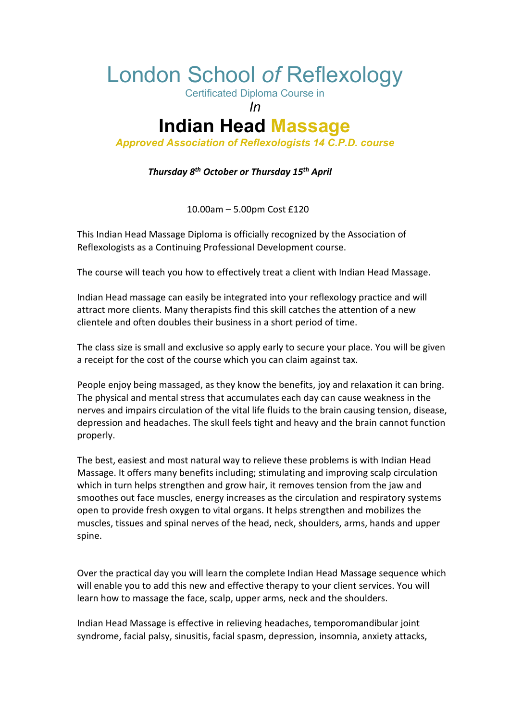## London School *of* Reflexology

Certificated Diploma Course in

*In*

## **Indian Head Massage**

*Approved Association of Reflexologists 14 C.P.D. course*

 *Thursday 8th October or Thursday 15th April*

10.00am – 5.00pm Cost £120

This Indian Head Massage Diploma is officially recognized by the Association of Reflexologists as a Continuing Professional Development course.

The course will teach you how to effectively treat a client with Indian Head Massage.

Indian Head massage can easily be integrated into your reflexology practice and will attract more clients. Many therapists find this skill catches the attention of a new clientele and often doubles their business in a short period of time.

The class size is small and exclusive so apply early to secure your place. You will be given a receipt for the cost of the course which you can claim against tax.

People enjoy being massaged, as they know the benefits, joy and relaxation it can bring. The physical and mental stress that accumulates each day can cause weakness in the nerves and impairs circulation of the vital life fluids to the brain causing tension, disease, depression and headaches. The skull feels tight and heavy and the brain cannot function properly.

The best, easiest and most natural way to relieve these problems is with Indian Head Massage. It offers many benefits including; stimulating and improving scalp circulation which in turn helps strengthen and grow hair, it removes tension from the jaw and smoothes out face muscles, energy increases as the circulation and respiratory systems open to provide fresh oxygen to vital organs. It helps strengthen and mobilizes the muscles, tissues and spinal nerves of the head, neck, shoulders, arms, hands and upper spine.

Over the practical day you will learn the complete Indian Head Massage sequence which will enable you to add this new and effective therapy to your client services. You will learn how to massage the face, scalp, upper arms, neck and the shoulders.

Indian Head Massage is effective in relieving headaches, temporomandibular joint syndrome, facial palsy, sinusitis, facial spasm, depression, insomnia, anxiety attacks,